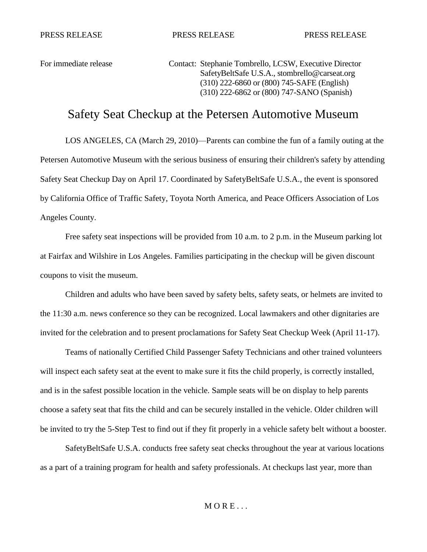PRESS RELEASE PRESS RELEASE PRESS RELEASE

For immediate release Contact: Stephanie Tombrello, LCSW, Executive Director SafetyBeltSafe U.S.A.[, stombrello@carseat.org](mailto:stombrello@carseat.org) (310) 222-6860 or (800) 745-SAFE (English) (310) 222-6862 or (800) 747-SANO (Spanish)

## Safety Seat Checkup at the Petersen Automotive Museum

LOS ANGELES, CA (March 29, 2010)—Parents can combine the fun of a family outing at the Petersen Automotive Museum with the serious business of ensuring their children's safety by attending Safety Seat Checkup Day on April 17. Coordinated by SafetyBeltSafe U.S.A., the event is sponsored by California Office of Traffic Safety, Toyota North America, and Peace Officers Association of Los Angeles County.

Free safety seat inspections will be provided from 10 a.m. to 2 p.m. in the Museum parking lot at Fairfax and Wilshire in Los Angeles. Families participating in the checkup will be given discount coupons to visit the museum.

Children and adults who have been saved by safety belts, safety seats, or helmets are invited to the 11:30 a.m. news conference so they can be recognized. Local lawmakers and other dignitaries are invited for the celebration and to present proclamations for Safety Seat Checkup Week (April 11-17).

Teams of nationally Certified Child Passenger Safety Technicians and other trained volunteers will inspect each safety seat at the event to make sure it fits the child properly, is correctly installed, and is in the safest possible location in the vehicle. Sample seats will be on display to help parents choose a safety seat that fits the child and can be securely installed in the vehicle. Older children will be invited to try the 5-Step Test to find out if they fit properly in a vehicle safety belt without a booster.

SafetyBeltSafe U.S.A. conducts free safety seat checks throughout the year at various locations as a part of a training program for health and safety professionals. At checkups last year, more than